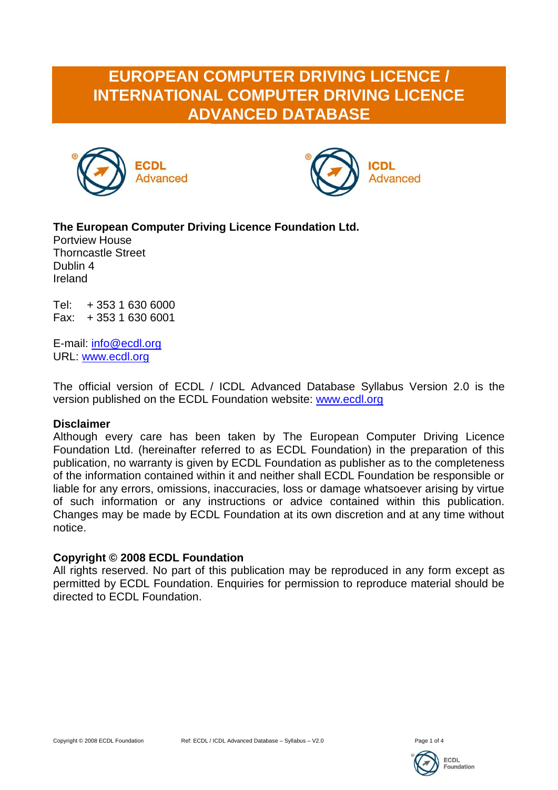# **EUROPEAN COMPUTER DRIVING LICENCE / INTERNATIONAL COMPUTER DRIVING LICENCE ADVANCED DATABASE**





### **The European Computer Driving Licence Foundation Ltd.**

Portview House Thorncastle Street Dublin 4 Ireland

Tel: + 353 1 630 6000 Fax: + 353 1 630 6001

E-mail: [info@ecdl.org](mailto:info@ecdl.org) URL: [www.ecdl.org](http://www.ecdl.org/)

The official version of ECDL / ICDL Advanced Database Syllabus Version 2.0 is the version published on the ECDL Foundation website: [www.ecdl.org](http://www.ecdl.org/)

#### **Disclaimer**

Although every care has been taken by The European Computer Driving Licence Foundation Ltd. (hereinafter referred to as ECDL Foundation) in the preparation of this publication, no warranty is given by ECDL Foundation as publisher as to the completeness of the information contained within it and neither shall ECDL Foundation be responsible or liable for any errors, omissions, inaccuracies, loss or damage whatsoever arising by virtue of such information or any instructions or advice contained within this publication. Changes may be made by ECDL Foundation at its own discretion and at any time without notice.

#### **Copyright © 2008 ECDL Foundation**

All rights reserved. No part of this publication may be reproduced in any form except as permitted by ECDL Foundation. Enquiries for permission to reproduce material should be directed to ECDL Foundation.

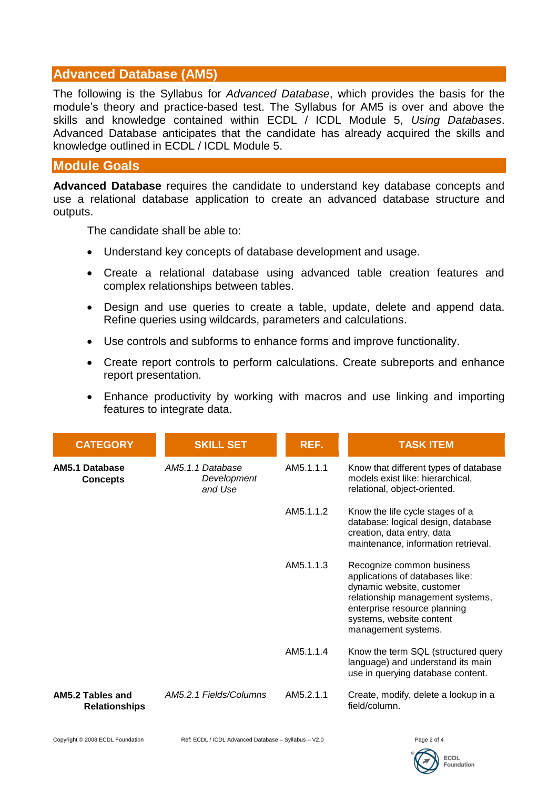## **Advanced Database (AM5)**

The following is the Syllabus for *Advanced Database*, which provides the basis for the module's theory and practice-based test. The Syllabus for AM5 is over and above the skills and knowledge contained within ECDL / ICDL Module 5, *Using Databases*. Advanced Database anticipates that the candidate has already acquired the skills and knowledge outlined in ECDL / ICDL Module 5.

#### **Module Goals**

**Advanced Database** requires the candidate to understand key database concepts and use a relational database application to create an advanced database structure and outputs.

The candidate shall be able to:

- Understand key concepts of database development and usage.
- Create a relational database using advanced table creation features and complex relationships between tables.
- Design and use queries to create a table, update, delete and append data. Refine queries using wildcards, parameters and calculations.
- Use controls and subforms to enhance forms and improve functionality.
- Create report controls to perform calculations. Create subreports and enhance report presentation.
- Enhance productivity by working with macros and use linking and importing features to integrate data.

| <b>CATEGORY</b>                          | <b>SKILL SET</b>                           | REF.      | <b>TASK ITEM</b>                                                                                                                                                                                                 |
|------------------------------------------|--------------------------------------------|-----------|------------------------------------------------------------------------------------------------------------------------------------------------------------------------------------------------------------------|
| <b>AM5.1 Database</b><br><b>Concepts</b> | AM5.1.1 Database<br>Development<br>and Use | AM5.1.1.1 | Know that different types of database<br>models exist like: hierarchical,<br>relational, object-oriented.                                                                                                        |
|                                          |                                            | AM5.1.1.2 | Know the life cycle stages of a<br>database: logical design, database<br>creation, data entry, data<br>maintenance, information retrieval.                                                                       |
|                                          |                                            | AM5.1.1.3 | Recognize common business<br>applications of databases like:<br>dynamic website, customer<br>relationship management systems,<br>enterprise resource planning<br>systems, website content<br>management systems. |
|                                          |                                            | AM5.1.1.4 | Know the term SQL (structured query<br>language) and understand its main<br>use in querying database content.                                                                                                    |
| AM5.2 Tables and<br><b>Relationships</b> | AM5.2.1 Fields/Columns                     | AM5.2.1.1 | Create, modify, delete a lookup in a<br>field/column.                                                                                                                                                            |

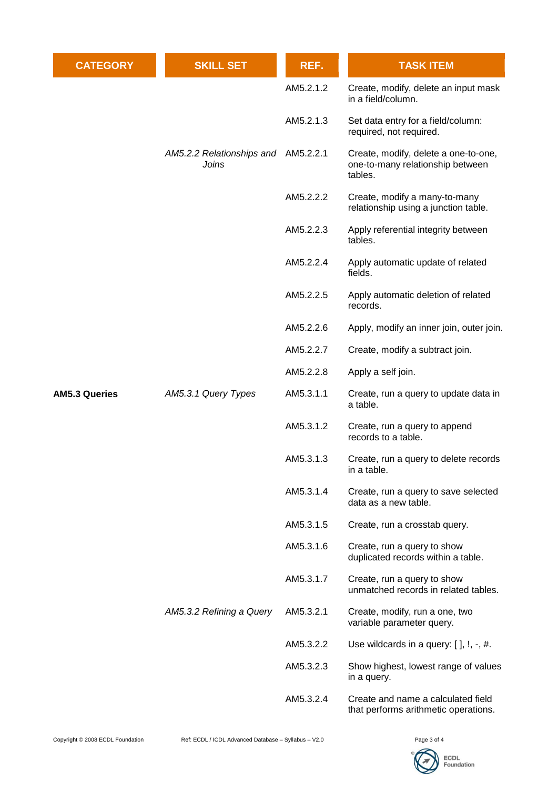| <b>CATEGORY</b>      | <b>SKILL SET</b>                   | REF.      | <b>TASK ITEM</b>                                                                    |
|----------------------|------------------------------------|-----------|-------------------------------------------------------------------------------------|
|                      | AM5.2.2 Relationships and<br>Joins | AM5.2.1.2 | Create, modify, delete an input mask<br>in a field/column.                          |
|                      |                                    | AM5.2.1.3 | Set data entry for a field/column:<br>required, not required.                       |
|                      |                                    | AM5.2.2.1 | Create, modify, delete a one-to-one,<br>one-to-many relationship between<br>tables. |
|                      |                                    | AM5.2.2.2 | Create, modify a many-to-many<br>relationship using a junction table.               |
|                      |                                    | AM5.2.2.3 | Apply referential integrity between<br>tables.                                      |
|                      |                                    | AM5.2.2.4 | Apply automatic update of related<br>fields.                                        |
|                      | AM5.3.1 Query Types                | AM5.2.2.5 | Apply automatic deletion of related<br>records.                                     |
|                      |                                    | AM5.2.2.6 | Apply, modify an inner join, outer join.                                            |
|                      |                                    | AM5.2.2.7 | Create, modify a subtract join.                                                     |
|                      |                                    | AM5.2.2.8 | Apply a self join.                                                                  |
| <b>AM5.3 Queries</b> |                                    | AM5.3.1.1 | Create, run a query to update data in<br>a table.                                   |
|                      |                                    | AM5.3.1.2 | Create, run a query to append<br>records to a table.                                |
|                      |                                    | AM5.3.1.3 | Create, run a query to delete records<br>in a table.                                |
|                      |                                    | AM5.3.1.4 | Create, run a query to save selected<br>data as a new table.                        |
|                      | AM5.3.2 Refining a Query           | AM5.3.1.5 | Create, run a crosstab query.                                                       |
|                      |                                    | AM5.3.1.6 | Create, run a query to show<br>duplicated records within a table.                   |
|                      |                                    | AM5.3.1.7 | Create, run a query to show<br>unmatched records in related tables.                 |
|                      |                                    | AM5.3.2.1 | Create, modify, run a one, two<br>variable parameter query.                         |
|                      |                                    | AM5.3.2.2 | Use wildcards in a query: $[$ ], $!, -, #$ .                                        |
|                      |                                    | AM5.3.2.3 | Show highest, lowest range of values<br>in a query.                                 |
|                      |                                    | AM5.3.2.4 | Create and name a calculated field<br>that performs arithmetic operations.          |